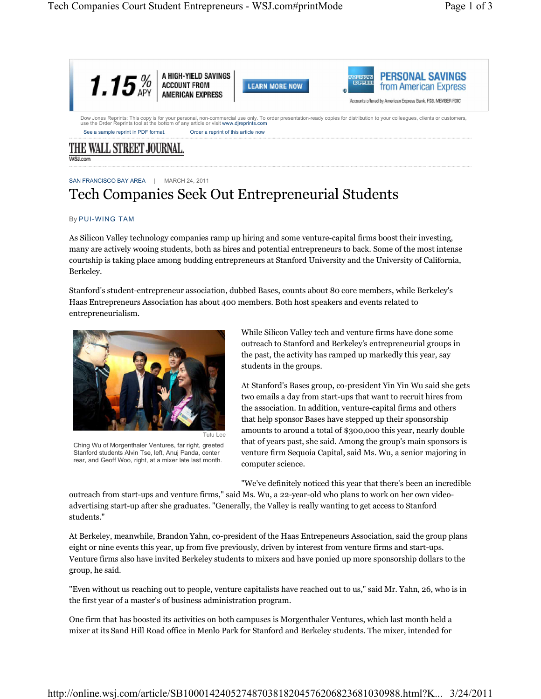

# SAN FRANCISCO BAY AREA | MARCH 24, 2011 Tech Companies Seek Out Entrepreneurial Students

## By PUI-WING TAM

As Silicon Valley technology companies ramp up hiring and some venture-capital firms boost their investing, many are actively wooing students, both as hires and potential entrepreneurs to back. Some of the most intense courtship is taking place among budding entrepreneurs at Stanford University and the University of California, Berkeley.

Stanford's student-entrepreneur association, dubbed Bases, counts about 80 core members, while Berkeley's Haas Entrepreneurs Association has about 400 members. Both host speakers and events related to entrepreneurialism.



Ching Wu of Morgenthaler Ventures, far right, greeted Stanford students Alvin Tse, left, Anuj Panda, center rear, and Geoff Woo, right, at a mixer late last month.

While Silicon Valley tech and venture firms have done some outreach to Stanford and Berkeley's entrepreneurial groups in the past, the activity has ramped up markedly this year, say students in the groups.

At Stanford's Bases group, co-president Yin Yin Wu said she gets two emails a day from start-ups that want to recruit hires from the association. In addition, venture-capital firms and others that help sponsor Bases have stepped up their sponsorship amounts to around a total of \$300,000 this year, nearly double that of years past, she said. Among the group's main sponsors is venture firm Sequoia Capital, said Ms. Wu, a senior majoring in computer science.

"We've definitely noticed this year that there's been an incredible

outreach from start-ups and venture firms," said Ms. Wu, a 22-year-old who plans to work on her own videoadvertising start-up after she graduates. "Generally, the Valley is really wanting to get access to Stanford students."

At Berkeley, meanwhile, Brandon Yahn, co-president of the Haas Entrepeneurs Association, said the group plans eight or nine events this year, up from five previously, driven by interest from venture firms and start-ups. Venture firms also have invited Berkeley students to mixers and have ponied up more sponsorship dollars to the group, he said.

"Even without us reaching out to people, venture capitalists have reached out to us," said Mr. Yahn, 26, who is in the first year of a master's of business administration program.

One firm that has boosted its activities on both campuses is Morgenthaler Ventures, which last month held a mixer at its Sand Hill Road office in Menlo Park for Stanford and Berkeley students. The mixer, intended for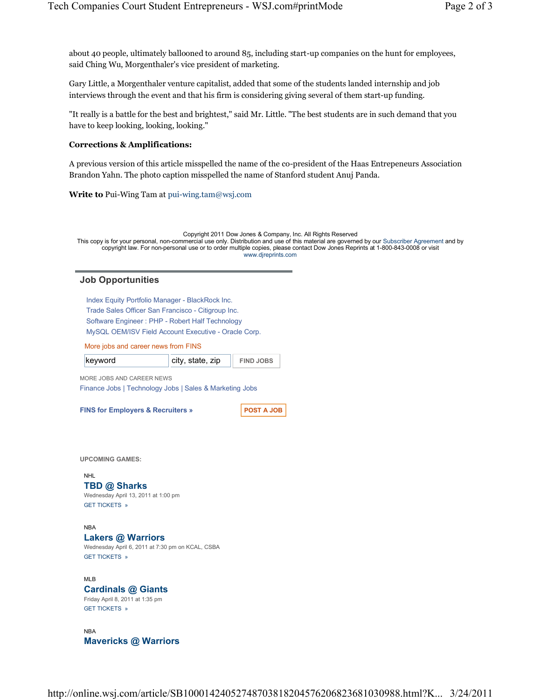about 40 people, ultimately ballooned to around 85, including start-up companies on the hunt for employees, said Ching Wu, Morgenthaler's vice president of marketing.

Gary Little, a Morgenthaler venture capitalist, added that some of the students landed internship and job interviews through the event and that his firm is considering giving several of them start-up funding.

"It really is a battle for the best and brightest," said Mr. Little. "The best students are in such demand that you have to keep looking, looking, looking."

# **Corrections & Amplifications:**

A previous version of this article misspelled the name of the co-president of the Haas Entrepeneurs Association Brandon Yahn. The photo caption misspelled the name of Stanford student Anuj Panda.

**Write to** Pui-Wing Tam at pui-wing.tam@wsj.com

Copyright 2011 Dow Jones & Company, Inc. All Rights Reserved This copy is for your personal, non-commercial use only. Distribution and use of this material are governed by our Subscriber Agreement and by copyright law. For non-personal use or to order multiple copies, please contact Dow Jones Reprints at 1-800-843-0008 or visit www.djreprints.com

## **Job Opportunities**

Index Equity Portfolio Manager - BlackRock Inc. Trade Sales Officer San Francisco - Citigroup Inc. Software Engineer : PHP - Robert Half Technology MySQL OEM/ISV Field Account Executive - Oracle Corp.

More jobs and career news from FINS

**keyword city, state, zip FIND JOBS** 

MORE JOBS AND CAREER NEWS Finance Jobs | Technology Jobs | Sales & Marketing Jobs

**FINS for Employers & Recruiters » POST A JOB** 

**UPCOMING GAMES:**

#### NHL

## **TBD @ Sharks**

Wednesday April 13, 2011 at 1:00 pm GET TICKETS »

#### **NRA**

#### **Lakers @ Warriors**

Wednesday April 6, 2011 at 7:30 pm on KCAL, CSBA GET TICKETS »

## MLB **Cardinals @ Giants** Friday April 8, 2011 at 1:35 pm

GET TICKETS »

NBA **Mavericks @ Warriors**